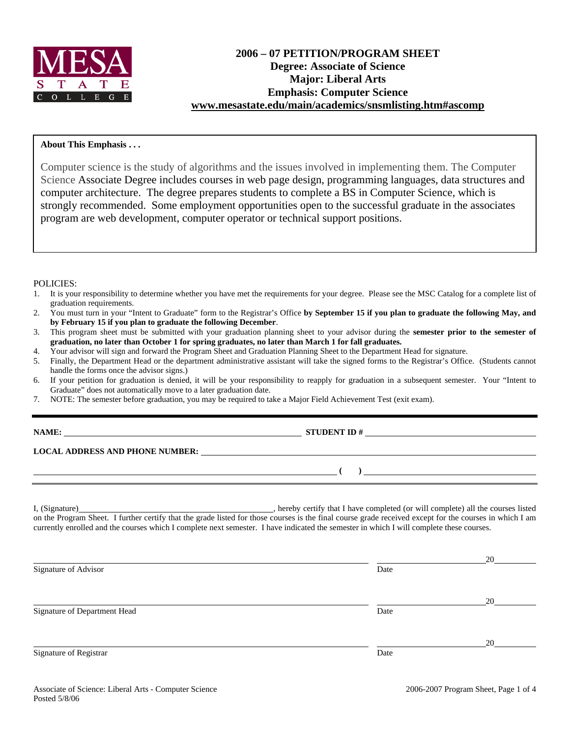

## **About This Emphasis . . .**

Computer science is the study of algorithms and the issues involved in implementing them. The Computer Science Associate Degree includes courses in web page design, programming languages, data structures and computer architecture. The degree prepares students to complete a BS in Computer Science, which is strongly recommended. Some employment opportunities open to the successful graduate in the associates program are web development, computer operator or technical support positions.

#### POLICIES:

| 1. It is your responsibility to determine whether you have met the requirements for your degree. Please see the MSC Catalog for a complete list of |  |
|----------------------------------------------------------------------------------------------------------------------------------------------------|--|
| graduation requirements.                                                                                                                           |  |

- 2. You must turn in your "Intent to Graduate" form to the Registrar's Office **by September 15 if you plan to graduate the following May, and by February 15 if you plan to graduate the following December**.
- 3. This program sheet must be submitted with your graduation planning sheet to your advisor during the **semester prior to the semester of graduation, no later than October 1 for spring graduates, no later than March 1 for fall graduates.**
- 4. Your advisor will sign and forward the Program Sheet and Graduation Planning Sheet to the Department Head for signature.
- 5. Finally, the Department Head or the department administrative assistant will take the signed forms to the Registrar's Office. (Students cannot handle the forms once the advisor signs.)
- 6. If your petition for graduation is denied, it will be your responsibility to reapply for graduation in a subsequent semester. Your "Intent to Graduate" does not automatically move to a later graduation date.
- 7. NOTE: The semester before graduation, you may be required to take a Major Field Achievement Test (exit exam).

| ١A | ٠M |  |
|----|----|--|
|    |    |  |

**STUDENT ID #** 

## **LOCAL ADDRESS AND PHONE NUMBER:**

I, (Signature) , hereby certify that I have completed (or will complete) all the courses listed on the Program Sheet. I further certify that the grade listed for those courses is the final course grade received except for the courses in which I am currently enrolled and the courses which I complete next semester. I have indicated the semester in which I will complete these courses.

|                              |      | 20 |
|------------------------------|------|----|
| Signature of Advisor         | Date |    |
|                              |      |    |
|                              |      | 20 |
| Signature of Department Head | Date |    |
|                              |      |    |
|                              |      | 20 |
| Signature of Registrar       | Date |    |
|                              |      |    |

 **( )**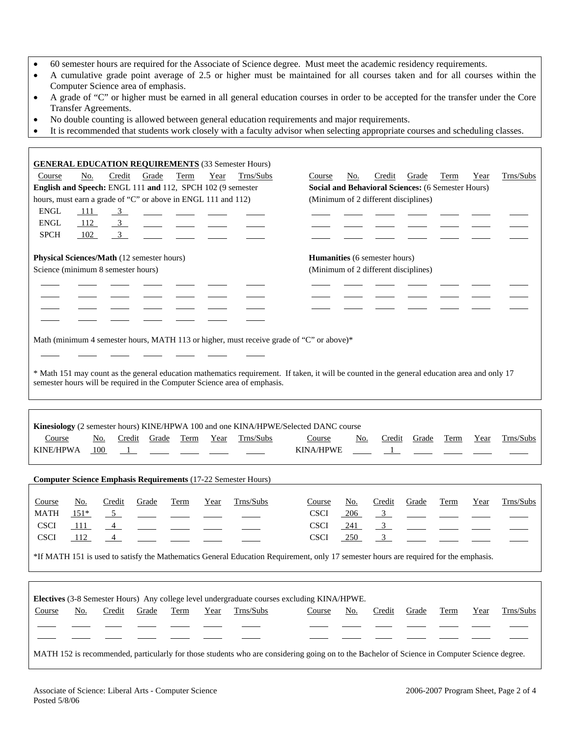- 60 semester hours are required for the Associate of Science degree. Must meet the academic residency requirements.
- A cumulative grade point average of 2.5 or higher must be maintained for all courses taken and for all courses within the Computer Science area of emphasis.
- A grade of "C" or higher must be earned in all general education courses in order to be accepted for the transfer under the Core Transfer Agreements.
- No double counting is allowed between general education requirements and major requirements.

П

• It is recommended that students work closely with a faculty advisor when selecting appropriate courses and scheduling classes.

| <b>GENERAL EDUCATION REQUIREMENTS (33 Semester Hours)</b><br>Credit<br>Grade<br>Trns/Subs<br>No.<br>Term<br>Year<br>Course<br>English and Speech: ENGL 111 and 112, SPCH 102 (9 semester<br>hours, must earn a grade of "C" or above in ENGL 111 and 112)<br><b>ENGL</b><br>111<br>$\frac{3}{2}$<br><b>Contract Contract</b><br><b>ENGL</b><br>112<br>3<br><b>SPCH</b><br>3 <sup>7</sup><br>102 | Trns/Subs<br>Credit<br>Grade<br>Term<br>Course<br>No.<br>Year<br>Social and Behavioral Sciences: (6 Semester Hours)<br>(Minimum of 2 different disciplines)                                  |  |  |  |  |  |
|-------------------------------------------------------------------------------------------------------------------------------------------------------------------------------------------------------------------------------------------------------------------------------------------------------------------------------------------------------------------------------------------------|----------------------------------------------------------------------------------------------------------------------------------------------------------------------------------------------|--|--|--|--|--|
| Physical Sciences/Math (12 semester hours)<br>Science (minimum 8 semester hours)                                                                                                                                                                                                                                                                                                                | Humanities (6 semester hours)<br>(Minimum of 2 different disciplines)                                                                                                                        |  |  |  |  |  |
| Math (minimum 4 semester hours, MATH 113 or higher, must receive grade of "C" or above)*<br>* Math 151 may count as the general education mathematics requirement. If taken, it will be counted in the general education area and only 17<br>semester hours will be required in the Computer Science area of emphasis.                                                                          |                                                                                                                                                                                              |  |  |  |  |  |
| Kinesiology (2 semester hours) KINE/HPWA 100 and one KINA/HPWE/Selected DANC course<br>Trns/Subs<br>Trns/Subs<br>Course<br>Credit Grade<br>Term<br>No.<br>Year<br>Course<br>Credit<br>Grade<br>Term<br>Year<br>No.<br><b>KINE/HPWA</b><br>100<br><b>KINA/HPWE</b><br>$\frac{1}{2}$<br>$\perp$                                                                                                   |                                                                                                                                                                                              |  |  |  |  |  |
| <b>Computer Science Emphasis Requirements (17-22 Semester Hours)</b>                                                                                                                                                                                                                                                                                                                            |                                                                                                                                                                                              |  |  |  |  |  |
| Trns/Subs<br>Credit<br>Term<br>Course<br><u>No.</u><br>Grade<br>Year<br>MATH<br>$151*$<br>5 <sup>5</sup><br><b>CSCI</b><br>111<br>4<br><b>CSCI</b><br>112<br>4<br>*If MATH 151 is used to satisfy the Mathematics General Education Requirement, only 17 semester hours are required for the emphasis.                                                                                          | Credit<br>Trns/Subs<br>Course<br><u>No.</u><br>Grade<br>Term<br>Year<br><b>CSCI</b><br>$\overline{3}$<br>206<br><b>CSCI</b><br>241<br>$\overline{3}$<br>$\overline{3}$<br><b>CSCI</b><br>250 |  |  |  |  |  |
|                                                                                                                                                                                                                                                                                                                                                                                                 |                                                                                                                                                                                              |  |  |  |  |  |
| Electives (3-8 Semester Hours) Any college level undergraduate courses excluding KINA/HPWE.<br>Trns/Subs<br>Credit<br>Course<br><u>No.</u><br>Grade<br>Term<br>Year                                                                                                                                                                                                                             | Trns/Subs<br>Credit<br>Course<br><u>No.</u><br>Grade<br>Term<br>Year                                                                                                                         |  |  |  |  |  |
| MATH 152 is recommended, particularly for those students who are considering going on to the Bachelor of Science in Computer Science degree.                                                                                                                                                                                                                                                    |                                                                                                                                                                                              |  |  |  |  |  |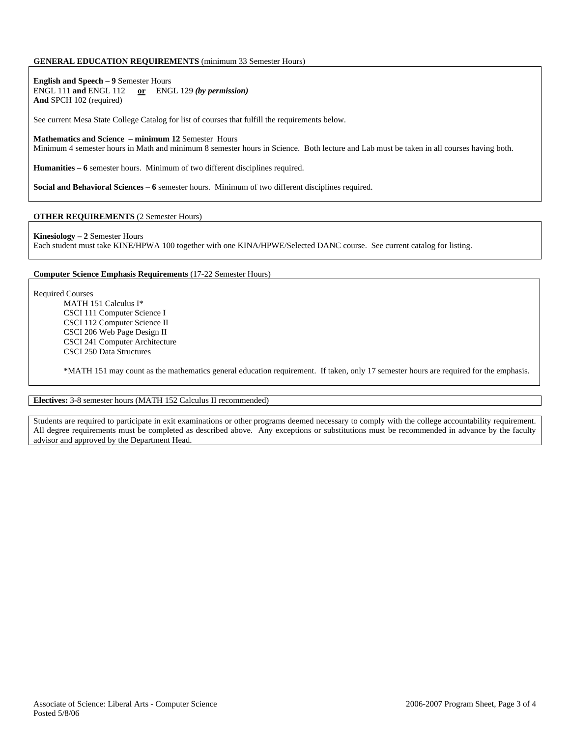### **GENERAL EDUCATION REQUIREMENTS** (minimum 33 Semester Hours)

**English and Speech – 9** Semester Hours ENGL 111 **and** ENGL 112 **or** ENGL 129 *(by permission)* **And** SPCH 102 (required)

See current Mesa State College Catalog for list of courses that fulfill the requirements below.

#### **Mathematics and Science – minimum 12** Semester Hours

Minimum 4 semester hours in Math and minimum 8 semester hours in Science. Both lecture and Lab must be taken in all courses having both.

**Humanities – 6** semester hours. Minimum of two different disciplines required.

**Social and Behavioral Sciences – 6** semester hours. Minimum of two different disciplines required.

## **OTHER REQUIREMENTS** (2 Semester Hours)

**Kinesiology – 2** Semester Hours

Each student must take KINE/HPWA 100 together with one KINA/HPWE/Selected DANC course. See current catalog for listing.

#### **Computer Science Emphasis Requirements** (17-22 Semester Hours)

Required Courses

MATH 151 Calculus I\* CSCI 111 Computer Science I CSCI 112 Computer Science II CSCI 206 Web Page Design II CSCI 241 Computer Architecture CSCI 250 Data Structures

\*MATH 151 may count as the mathematics general education requirement. If taken, only 17 semester hours are required for the emphasis.

#### **Electives:** 3-8 semester hours (MATH 152 Calculus II recommended)

Students are required to participate in exit examinations or other programs deemed necessary to comply with the college accountability requirement. All degree requirements must be completed as described above. Any exceptions or substitutions must be recommended in advance by the faculty advisor and approved by the Department Head.